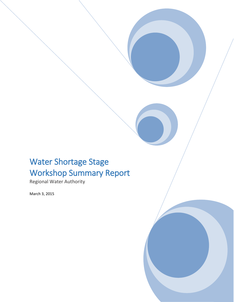# Water Shortage Stage Workshop Summary Report

Regional Water Authority

March 3, 2015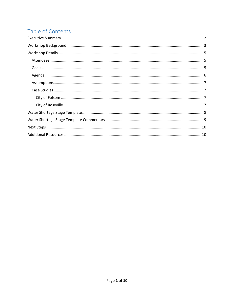# Table of Contents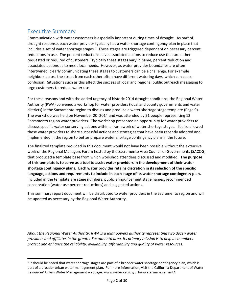### <span id="page-2-0"></span>Executive Summary

 $\overline{\phantom{a}}$ 

Communication with water customers is especially important during times of drought. As part of drought response, each water provider typically has a water shortage contingency plan in place that includes a set of water shortage stages.<sup>1</sup> These stages are triggered dependent on necessary percent reductions in use. The percent reductions have associated actions to reduce use that are either requested or required of customers. Typically these stages vary in name, percent reduction and associated actions as to meet local needs. However, as water provider boundaries are often intertwined, clearly communicating these stages to customers can be a challenge. For example neighbors across the street from each other often have different watering days, which can cause confusion. Situations such as this affect the success of local and regional public outreach messaging to urge customers to reduce water use.

For these reasons and with the added urgency of historic 2014 drought conditions, the Regional Water Authority (RWA) convened a workshop for water providers (local and county governments and water districts) in the Sacramento region to discuss and produce a water shortage stage template (Page 9). The workshop was held on November 20, 2014 and was attended by 21 people representing 12 Sacramento region water providers. The workshop presented an opportunity for water providers to discuss specific water conserving actions within a framework of water shortage stages. It also allowed these water providers to share successful actions and strategies that have been recently adopted and implemented in the region to better prepare water shortage contingency plans in the future.

The finalized template provided in this document would not have been possible without the extensive work of the Regional Managers Forum hosted by the Sacramento Area Council of Governments (SACOG) that produced a template base from which workshop attendees discussed and modified. **The purpose of this template is to serve as a tool to assist water providers in the development of their water shortage contingency plans. Each water provider retains discretion in its selection of the specific language, actions and requirements to include in each stage of its water shortage contingency plan.**  Included in the template are stage numbers, public announcement stage names, recommended conservation (water use percent reductions) and suggested actions.

This summary report document will be distributed to water providers in the Sacramento region and will be updated as necessary by the Regional Water Authority.

*About the Regional Water Authority: RWA is a joint powers authority representing two dozen water providers and affiliates in the greater Sacramento area. Its primary mission is to help its members protect and enhance the reliability, availability, affordability and quality of water resources.*

 $1$  It should be noted that water shortage stages are part of a broader water shortage contingency plan, which is part of a broader urban water management plan. For more information, visit the California Department of Water Resources' Urban Water Management webpage: www.water.ca.gov/urbanwatermanagement/.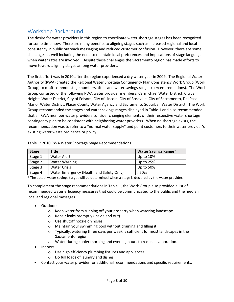### <span id="page-3-0"></span>Workshop Background

The desire for water providers in this region to coordinate water shortage stages has been recognized for some time now. There are many benefits to aligning stages such as increased regional and local consistency in public outreach messaging and reduced customer confusion. However, there are some challenges as well including the need to maintain local preferences and implications of stage language when water rates are involved. Despite these challenges the Sacramento region has made efforts to move toward aligning stages among water providers.

The first effort was in 2010 after the region experienced a dry water year in 2009. The Regional Water Authority (RWA) created the Regional Water Shortage Contingency Plan Consistency Work Group (Work Group) to draft common stage numbers, titles and water savings ranges (percent reductions). The Work Group consisted of the following RWA water provider members: Carmichael Water District, Citrus Heights Water District, City of Folsom, City of Lincoln, City of Roseville, City of Sacramento, Del Paso Manor Water District, Placer County Water Agency and Sacramento Suburban Water District. The Work Group recommended the stages and water savings ranges displayed in Table 1 and also recommended that all RWA member water providers consider changing elements of their respective water shortage contingency plan to be consistent with neighboring water providers. When no shortage exists, the recommendation was to refer to a "normal water supply" and point customers to their water provider's existing water waste ordinance or policy.

| <b>Stage</b> | <b>Title</b>                             | <b>Water Savings Range*</b> |
|--------------|------------------------------------------|-----------------------------|
| Stage 1      | Water Alert                              | Up to $10\%$                |
| Stage 2      | <b>Water Warning</b>                     | Up to $25%$                 |
| Stage 3      | <b>Water Crisis</b>                      | Up to 50%                   |
| Stage 4      | Water Emergency (Health and Safety Only) | >50%                        |

Table 1: 2010 RWA Water Shortage Stage Recommendations

\* The actual water savings target will be determined when a stage is declared by the water provider.

To complement the stage recommendations in Table 1, the Work Group also provided a list of recommended water efficiency measures that could be communicated to the public and the media in local and regional messages.

- Outdoors
	- o Keep water from running off your property when watering landscape.
	- o Repair leaks promptly (inside and out).
	- o Use shutoff nozzle on hoses.
	- o Maintain your swimming pool without draining and filling it.
	- $\circ$  Typically, watering three days per week is sufficient for most landscapes in the Sacramento region.
	- o Water during cooler morning and evening hours to reduce evaporation.
- Indoors
	- o Use high efficiency plumbing fixtures and appliances.
	- o Do full loads of laundry and dishes.
- Contact your water provider for additional recommendations and specific requirements.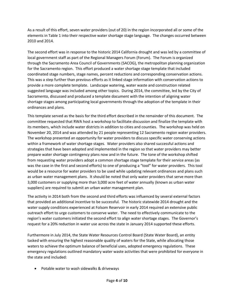As a result of this effort, seven water providers (out of 20) in the region incorporated all or some of the elements in Table 1 into their respective water shortage stage language. The changes occurred between 2010 and 2014.

The second effort was in response to the historic 2014 California drought and was led by a committee of local government staff as part of the Regional Managers Forum (Forum). The Forum is organized through the Sacramento Area Council of Governments (SACOG), the metropolitan planning organization for the Sacramento region. This effort produced a water shortage stage template that included coordinated stage numbers, stage names, percent reductions and corresponding conservation actions. This was a step further than previous efforts as it linked stage information with conservation actions to provide a more complete template. Landscape watering, water waste and construction related suggested language was included among other topics. During 2014, the committee, led by the City of Sacramento, discussed and produced a template document with the intention of aligning water shortage stages among participating local governments through the adoption of the template in their ordinances and plans.

This template served as the basis for the third effort described in the remainder of this document. The committee requested that RWA host a workshop to facilitate discussion and finalize the template with its members, which include water districts in addition to cities and counties. The workshop was held on November 20, 2014 and was attended by 21 people representing 12 Sacramento region water providers. The workshop presented an opportunity for water providers to discuss specific water conserving actions within a framework of water shortage stages. Water providers also shared successful actions and strategies that have been adopted and implemented in the region so that water providers may better prepare water shortage contingency plans now and in the future. The tone of the workshop shifted from requesting water providers adopt a common shortage stage template for their service areas (as was the case in the first and second efforts) to one of producing a "tool" for water providers. This tool would be a resource for water providers to be used while updating relevant ordinances and plans such as urban water management plans. It should be noted that only water providers that serve more than 3,000 customers or supplying more than 3,000 acre feet of water annually (known as urban water suppliers) are required to submit an urban water management plan.

The activity in 2014 both from the second and third efforts was influenced by several external factors that provided an additional incentive to be successful. The historic statewide 2014 drought and the water supply conditions experienced at Folsom Reservoir in early 2014 required an extensive public outreach effort to urge customers to conserve water. The need to effectively communicate to the region's water customers initiated the second effort to align water shortage stages. The Governor's request for a 20% reduction in water use across the state in January 2014 supported these efforts.

Furthermore in July 2014, the State Water Resources Control Board (State Water Board), an entity tasked with ensuring the highest reasonable quality of waters for the State, while allocating those waters to achieve the optimum balance of beneficial uses, adopted emergency regulations. These emergency regulations outlined mandatory water waste activities that were prohibited for everyone in the state and included:

Potable water to wash sidewalks & driveways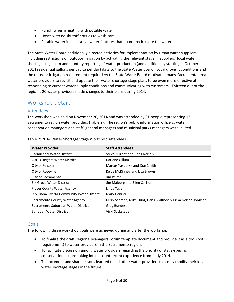- Runoff when irrigating with potable water
- Hoses with no shutoff nozzles to wash cars
- Potable water in decorative water features that do not recirculate the water

The State Water Board additionally directed activities for implementation by urban water suppliers including restrictions on outdoor irrigation by activating the relevant stage in suppliers' local water shortage stage plan and monthly reporting of water production (and additionally starting in October 2014 residential gallons per capita per day) data to the State Water Board. Local drought conditions and the outdoor irrigation requirement required by the State Water Board motivated many Sacramento area water providers to revisit and update their water shortage stage plans to be even more effective at responding to current water supply conditions and communicating with customers. Thirteen out of the region's 20 water providers made changes to their plans during 2014.

### <span id="page-5-0"></span>Workshop Details

#### <span id="page-5-1"></span>Attendees

The workshop was held on November 20, 2014 and was attended by 21 people representing 12 Sacramento region water providers (Table 2). The region's public information officers, water conservation managers and staff, general managers and municipal parks managers were invited.

| <b>Water Provider</b>                      | <b>Staff Attendees</b>                                        |
|--------------------------------------------|---------------------------------------------------------------|
| <b>Carmichael Water District</b>           | Steve Nugent and Chris Nelson                                 |
| Citrus Heights Water District              | Darlene Gillum                                                |
| City of Folsom                             | Marcus Yasutake and Don Smith                                 |
| City of Roseville                          | Kelye McKinney and Lisa Brown                                 |
| City of Sacramento                         | Jim Peifer                                                    |
| <b>Elk Grove Water District</b>            | Jim Malberg and Ellen Carlson                                 |
| Placer County Water Agency                 | Linda Yager                                                   |
| Rio Linda/Elverta Community Water District | Mary Henrici                                                  |
| Sacramento County Water Agency             | Kerry Schmitz, Mike Huot, Dan Gwaltney & Erika Nelson-Johnson |
| Sacramento Suburban Water District         | Greg Bundesen                                                 |
| San Juan Water District                    | Vicki Sacksteder                                              |

Table 2: 2014 Water Shortage Stage Workshop Attendees

#### <span id="page-5-2"></span>**Goals**

The following three workshop goals were achieved during and after the workshop:

- To finalize the draft Regional Managers Forum template document and provide it as a tool (not requirement) to water providers in the Sacramento region.
- To facilitate discussion among water providers regarding the priority of stage-specific conservation actions taking into account recent experience from early 2014.
- To document and share lessons learned to aid other water providers that may modify their local water shortage stages in the future.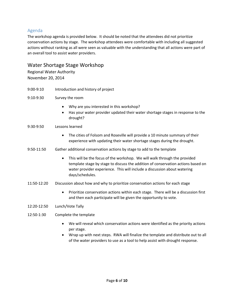#### <span id="page-6-0"></span>Agenda

The workshop agenda is provided below. It should be noted that the attendees did not prioritize conservation actions by stage. The workshop attendees were comfortable with including all suggested actions without ranking as all were seen as valuable with the understanding that all actions were part of an overall tool to assist water providers.

#### Water Shortage Stage Workshop

Regional Water Authority November 20, 2014

9:00-9:10 Introduction and history of project

9:10-9:30 Survey the room

- Why are you interested in this workshop?
- Has your water provider updated their water shortage stages in response to the drought?

#### 9:30-9:50 Lessons learned

- The cities of Folsom and Roseville will provide a 10 minute summary of their experience with updating their water shortage stages during the drought.
- 9:50-11:50 Gather additional conservation actions by stage to add to the template
	- This will be the focus of the workshop. We will walk through the provided template stage by stage to discuss the addition of conservation actions based on water provider experience. This will include a discussion about watering days/schedules.
- 11:50-12:20 Discussion about how and why to prioritize conservation actions for each stage
	- Prioritize conservation actions within each stage. There will be a discussion first and then each participate will be given the opportunity to vote.
- 12:20-12:50 Lunch/Vote Tally
- 12:50-1:30 Complete the template
	- We will reveal which conservation actions were identified as the priority actions per stage.
	- Wrap up with next steps. RWA will finalize the template and distribute out to all of the water providers to use as a tool to help assist with drought response.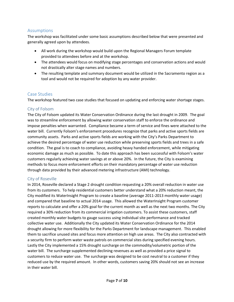#### <span id="page-7-0"></span>Assumptions

The workshop was facilitated under some basic assumptions described below that were presented and generally agreed upon by attendees.

- All work during the workshop would build upon the Regional Managers Forum template provided to attendees before and at the workshop.
- The attendees would focus on modifying stage percentages and conservation actions and would not drastically alter stage names and numbers.
- The resulting template and summary document would be utilized in the Sacramento region as a tool and would not be required for adoption by any water provider.

#### <span id="page-7-1"></span>Case Studies

The workshop featured two case studies that focused on updating and enforcing water shortage stages.

#### <span id="page-7-2"></span>City of Folsom

The City of Folsom updated its Water Conservation Ordinance during the last drought in 2009. The goal was to streamline enforcement by allowing water conservation staff to enforce the ordinance and impose penalties when warranted. Compliance became a term of service and fines were attached to the water bill. Currently Folsom's enforcement procedures recognize that parks and active sports fields are community assets. Parks and active sports fields are working with the City's Parks Department to achieve the desired percentage of water use reduction while preserving sports fields and trees in a safe condition. The goal is to coach to compliance, avoiding heavy handed enforcement, while mitigating economic damage as much as possible. To date this approach has been successful with Folsom's water customers regularly achieving water savings at or above 20%. In the future, the City is examining methods to focus more enforcement efforts on their mandatory percentage of water use reduction through data provided by their advanced metering infrastructure (AMI) technology.

#### <span id="page-7-3"></span>City of Roseville

In 2014, Roseville declared a Stage 2 drought condition requesting a 20% overall reduction in water use from its customers. To help residential customers better understand what a 20% reduction meant, the City modified its WaterInsight Program to create a baseline (average 2011-2013 monthly water usage) and compared that baseline to actual 2014 usage. This allowed the WaterInsight Program customer reports to calculate and offer a 20% goal for the current month as well as the next two months. The City required a 30% reduction from its commercial irrigation customers. To assist these customers, staff created monthly water budgets to gauge success using individual site performance and tracked collective water use. Additionally the City updated its Water Conservation Ordinance for the 2014 drought allowing for more flexibility for the Parks Department for landscape management. This enabled them to sacrifice unused sites and focus more attention on high use areas. The City also contracted with a security firm to perform water waste patrols on commercial sites during specified evening hours. Lastly the City implemented a 15% drought surcharge on the commodity/volumetric portion of the water bill. The surcharge supplemented declining revenues as well as provided a price signal to customers to reduce water use. The surcharge was designed to be cost neutral to a customer if they reduced use by the required amount. In other words, customers saving 20% should not see an increase in their water bill.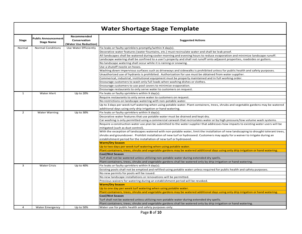# **Water Shortage Stage Template**

| <b>Water Shortage Stage Template</b> |                                                 |                                                      |                                                                                                                                       |  |
|--------------------------------------|-------------------------------------------------|------------------------------------------------------|---------------------------------------------------------------------------------------------------------------------------------------|--|
| <b>Stage</b>                         | <b>Public Announcement</b><br><b>Stage Name</b> | Recommended<br>Conservation<br>(Water Use Reduction) | <b>Suggested Actions</b>                                                                                                              |  |
| Normal                               | <b>Normal Conditions</b>                        | Use Water Efficiently                                | Fix leaks or faulty sprinklers promptly/within X day(s).                                                                              |  |
|                                      |                                                 |                                                      | Decorative water features (water fountains, etc.) must recirculate water and shall be leak proof.                                     |  |
|                                      |                                                 |                                                      | All landscapes shall be watered during cooler morning and evening hours to reduce evaporation and minimize landscape runoff.          |  |
|                                      |                                                 |                                                      | Landscape watering shall be confined to a user's property and shall not runoff onto adjacent properties, roadsides or gutters.        |  |
|                                      |                                                 |                                                      | No landscape watering shall occur while it is raining or snowing.                                                                     |  |
|                                      |                                                 |                                                      | Use a shutoff nozzle on hoses.                                                                                                        |  |
|                                      |                                                 |                                                      | Washing down impervious surfaces such as driveways and sidewalks is prohibited unless for public health and safety purposes.          |  |
|                                      |                                                 |                                                      | Unauthorized use of hydrants is prohibited. Authorization for use must be obtained from water supplier.                               |  |
|                                      |                                                 |                                                      | Commerical, industrial, institutional equipment must be properly maintained and in full working order.                                |  |
|                                      |                                                 |                                                      | Encourage customers to wash only full loads when washing dishes or clothes.                                                           |  |
|                                      |                                                 |                                                      | Encourage customers to use pool covers to minimize evaporation.                                                                       |  |
|                                      |                                                 |                                                      | Encourage restaurants to only serve water to customers on request.                                                                    |  |
| $\mathbf{1}$                         | Water Alert                                     | Up to 20%                                            | Fix leaks or faulty sprinklers within X day(s).                                                                                       |  |
|                                      |                                                 |                                                      | Require restaurants to only serve water to customers on request.                                                                      |  |
|                                      |                                                 |                                                      | No restrictions on landscape watering with non-potable water.                                                                         |  |
|                                      |                                                 |                                                      | Up to 3 days per week turf watering when using potable water. Plant containers, trees, shrubs and vegetable gardens may be watered    |  |
|                                      |                                                 |                                                      | additional days using only drip irrigation or hand watering.                                                                          |  |
| $\overline{2}$                       | <b>Water Warning</b>                            | Up to 30%                                            | Fix leaks or faulty sprinklers within X day(s).                                                                                       |  |
|                                      |                                                 |                                                      | Decorative water features that use potable water must be drained and kept dry.                                                        |  |
|                                      |                                                 |                                                      | Car washing is only permitted using a commercial carwash that recirculates water or by high pressure/low volume wash systems.         |  |
|                                      |                                                 |                                                      | Require a construction water use plan be submitted to the water supplier that addresses how impacts to existing water users will be   |  |
|                                      |                                                 |                                                      | mitigated (such as dust control).                                                                                                     |  |
|                                      |                                                 |                                                      | With the exception of landscapes watered with non-potable water, limit the installation of new landscaping to drought tolerant trees, |  |
|                                      |                                                 |                                                      | shrubs and groundcover. Prohibit installation of new turf or hydroseed. Customers may apply for a waiver to irrigate during an        |  |
|                                      |                                                 |                                                      | establishment period for the installation of new turf or hydroseed.                                                                   |  |
|                                      |                                                 |                                                      | <b>Warm/Dry Season</b>                                                                                                                |  |
|                                      |                                                 |                                                      | Up to two days per week turf watering when using potable water.                                                                       |  |
|                                      |                                                 |                                                      | Plant containers, trees, shrubs and vegetable gardens may be watered additional days using only drip irrigation or hand watering.     |  |
|                                      |                                                 |                                                      | Cool/Wet Season                                                                                                                       |  |
|                                      |                                                 |                                                      | Turf shall not be watered unless utilizing non-potable water during extended dry spells.                                              |  |
|                                      |                                                 |                                                      | Plant containers, trees, shrubs and vegetable gardens shall be watered only by drip irrigation or hand watering.                      |  |
| 3                                    | <b>Water Crisis</b>                             | Up to 40%                                            | Fix leaks or faulty sprinklers within X day(s).                                                                                       |  |
|                                      |                                                 |                                                      | Existing pools shall not be emptied and refilled using potable water unless required for public health and safety purposes.           |  |
|                                      |                                                 |                                                      | No new permits for pools will be issued.                                                                                              |  |
|                                      |                                                 |                                                      | No new landscape installations or renovations will be permitted.                                                                      |  |
|                                      |                                                 |                                                      | Previous waivers for watering during an establishment period will be revoked.                                                         |  |
|                                      |                                                 |                                                      | <b>Warm/Dry Season</b>                                                                                                                |  |
|                                      |                                                 |                                                      | Up to one day per week turf watering when using potable water.                                                                        |  |
|                                      |                                                 |                                                      | Plant containers, trees, shrubs and vegetable gardens may be watered additional days using only drip irrigation or hand watering.     |  |
|                                      |                                                 |                                                      | <b>Cool/Wet Season</b>                                                                                                                |  |
|                                      |                                                 |                                                      | Turf shall not be watered unless utilizing non-potable water during extended dry spells.                                              |  |
|                                      |                                                 |                                                      | Plant containers, trees, shrubs and vegetable gardens shall be watered only by drip irrigation or hand watering.                      |  |
| $\overline{a}$                       | <b>Water Emergency</b>                          | Up to 50%                                            | Water use for public health and safety purposes only.<br>$D \cap \cap \cap \cap \mathbb{Q}$                                           |  |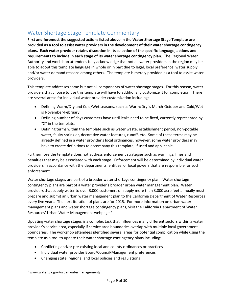### <span id="page-9-0"></span>Water Shortage Stage Template Commentary

**First and foremost the suggested actions listed above in the Water Shortage Stage Template are provided as a tool to assist water providers in the development of their water shortage contingency plans. Each water provider retains discretion in its selection of the specific language, actions and requirements to include in each stage of its water shortage contingency plan.** The Regional Water Authority and workshop attendees fully acknowledge that not all water providers in the region may be able to adopt this template language in whole or in part due to legal, local preference, water supply, and/or water demand reasons among others. The template is merely provided as a tool to assist water providers.

This template addresses some but not all components of water shortage stages. For this reason, water providers that choose to use this template will have to additionally customize it for completion. There are several areas for individual water provider customization including:

- Defining Warm/Dry and Cold/Wet seasons, such as Warm/Dry is March-October and Cold/Wet is November-February.
- Defining number of days customers have until leaks need to be fixed, currently represented by "X" in the template.
- Defining terms within the template such as water waste, establishment period, non-potable water, faulty sprinkler, decorative water features, runoff, etc. Some of these terms may be already defined in a water provider's local ordinances, however, some water providers may have to create definitions to accompany this template, if used and applicable.

Furthermore the template does not address enforcement strategies such as warnings, fines and penalties that may be associated with each stage. Enforcement will be determined by individual water providers in accordance with the departments, entities, or local powers that are responsible for such enforcement.

Water shortage stages are part of a broader water shortage contingency plan. Water shortage contingency plans are part of a water provider's broader urban water management plan. Water providers that supply water to over 3,000 customers or supply more than 3,000 acre feet annually must prepare and submit an urban water management plan to the California Department of Water Resources every five years. The next iteration of plans are for 2015. For more information on urban water management plans and water shortage contingency plans, visit the California Department of Water Resources' Urban Water Management webpage.<sup>2</sup>

Updating water shortage stages is a complex task that influences many different sectors within a water provider's service area, especially if service area boundaries overlap with multiple local government boundaries. The workshop attendees identified several areas for potential complication while using the template as a tool to update their water shortage contingency plans including:

- Conflicting and/or pre-existing local and county ordinances or practices
- Individual water provider Board/Council/Management preferences
- Changing state, regional and local policies and regulations

 $\overline{\phantom{a}}$ 

<sup>2</sup> www.water.ca.gov/urbanwatermanagement/